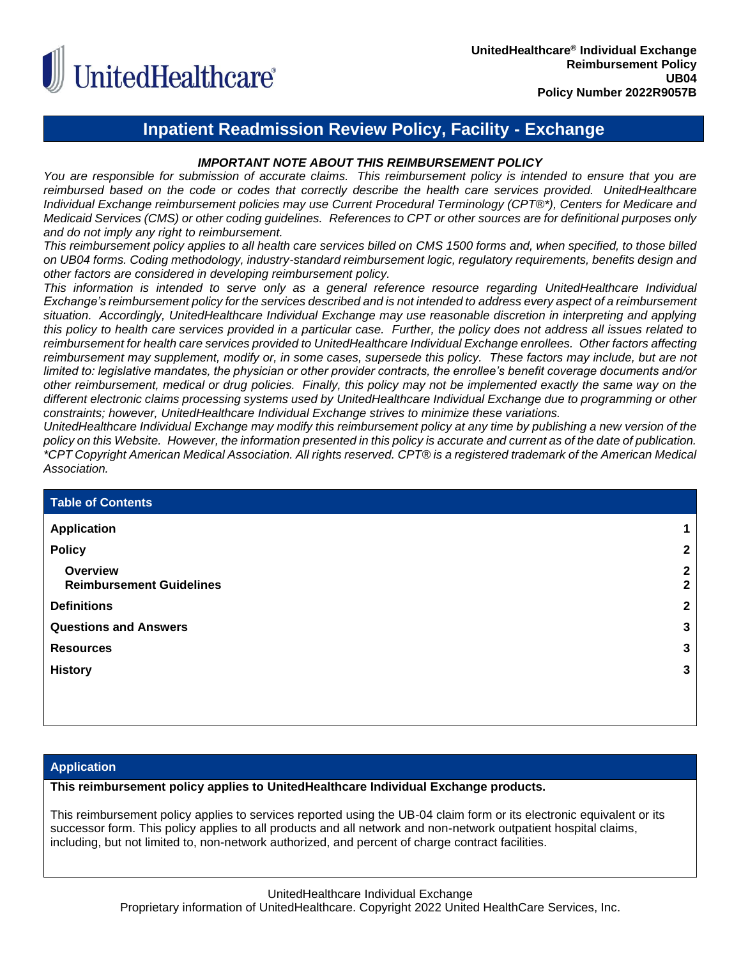

# **Inpatient Readmission Review Policy, Facility - Exchange**

## *IMPORTANT NOTE ABOUT THIS REIMBURSEMENT POLICY*

*You are responsible for submission of accurate claims. This reimbursement policy is intended to ensure that you are reimbursed based on the code or codes that correctly describe the health care services provided. UnitedHealthcare Individual Exchange reimbursement policies may use Current Procedural Terminology (CPT®\*), Centers for Medicare and Medicaid Services (CMS) or other coding guidelines. References to CPT or other sources are for definitional purposes only and do not imply any right to reimbursement.*

*This reimbursement policy applies to all health care services billed on CMS 1500 forms and, when specified, to those billed on UB04 forms. Coding methodology, industry-standard reimbursement logic, regulatory requirements, benefits design and other factors are considered in developing reimbursement policy.*

*This information is intended to serve only as a general reference resource regarding UnitedHealthcare Individual Exchange's reimbursement policy for the services described and is not intended to address every aspect of a reimbursement situation. Accordingly, UnitedHealthcare Individual Exchange may use reasonable discretion in interpreting and applying this policy to health care services provided in a particular case. Further, the policy does not address all issues related to reimbursement for health care services provided to UnitedHealthcare Individual Exchange enrollees. Other factors affecting reimbursement may supplement, modify or, in some cases, supersede this policy. These factors may include, but are not limited to: legislative mandates, the physician or other provider contracts, the enrollee's benefit coverage documents and/or other reimbursement, medical or drug policies. Finally, this policy may not be implemented exactly the same way on the different electronic claims processing systems used by UnitedHealthcare Individual Exchange due to programming or other constraints; however, UnitedHealthcare Individual Exchange strives to minimize these variations.*

*UnitedHealthcare Individual Exchange may modify this reimbursement policy at any time by publishing a new version of the policy on this Website. However, the information presented in this policy is accurate and current as of the date of publication. \*CPT Copyright American Medical Association. All rights reserved. CPT® is a registered trademark of the American Medical Association.*

| <b>Table of Contents</b>                           |                   |
|----------------------------------------------------|-------------------|
| <b>Application</b>                                 |                   |
| <b>Policy</b>                                      | $\mathbf{2}$      |
| <b>Overview</b><br><b>Reimbursement Guidelines</b> | $\mathbf{2}$<br>2 |
| <b>Definitions</b>                                 | $\mathbf{2}$      |
| <b>Questions and Answers</b>                       | 3                 |
| <b>Resources</b>                                   | 3                 |
| <b>History</b>                                     | 3                 |
|                                                    |                   |
|                                                    |                   |

## <span id="page-0-0"></span>**Application**

## **This reimbursement policy applies to UnitedHealthcare Individual Exchange products.**

This reimbursement policy applies to services reported using the UB-04 claim form or its electronic equivalent or its successor form. This policy applies to all products and all network and non-network outpatient hospital claims, including, but not limited to, non-network authorized, and percent of charge contract facilities.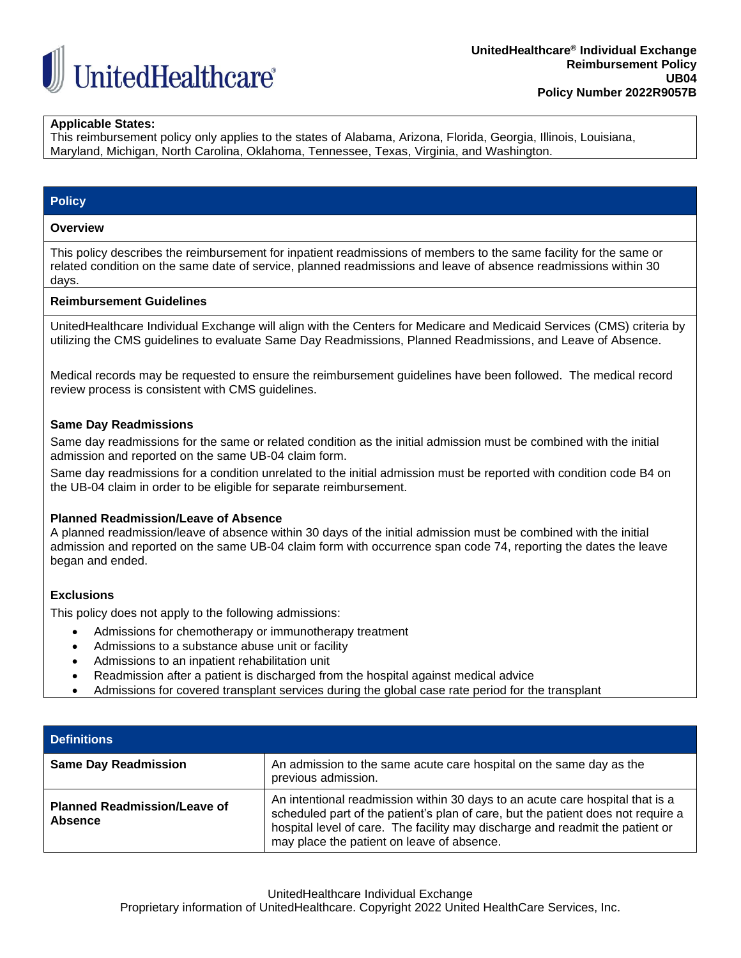

## **Applicable States:**

This reimbursement policy only applies to the states of Alabama, Arizona, Florida, Georgia, Illinois, Louisiana, Maryland, Michigan, North Carolina, Oklahoma, Tennessee, Texas, Virginia, and Washington.

## <span id="page-1-0"></span>**Policy**

#### <span id="page-1-1"></span>**Overview**

This policy describes the reimbursement for inpatient readmissions of members to the same facility for the same or related condition on the same date of service, planned readmissions and leave of absence readmissions within 30 days.

#### <span id="page-1-2"></span>**Reimbursement Guidelines**

UnitedHealthcare Individual Exchange will align with the Centers for Medicare and Medicaid Services (CMS) criteria by utilizing the CMS guidelines to evaluate Same Day Readmissions, Planned Readmissions, and Leave of Absence.

Medical records may be requested to ensure the reimbursement guidelines have been followed. The medical record review process is consistent with CMS guidelines.

#### **Same Day Readmissions**

Same day readmissions for the same or related condition as the initial admission must be combined with the initial admission and reported on the same UB-04 claim form.

Same day readmissions for a condition unrelated to the initial admission must be reported with condition code B4 on the UB-04 claim in order to be eligible for separate reimbursement.

#### **Planned Readmission/Leave of Absence**

A planned readmission/leave of absence within 30 days of the initial admission must be combined with the initial admission and reported on the same UB-04 claim form with occurrence span code 74, reporting the dates the leave began and ended.

## **Exclusions**

This policy does not apply to the following admissions:

- Admissions for chemotherapy or immunotherapy treatment
- Admissions to a substance abuse unit or facility
- Admissions to an inpatient rehabilitation unit
- Readmission after a patient is discharged from the hospital against medical advice
- <span id="page-1-3"></span>• Admissions for covered transplant services during the global case rate period for the transplant

| <b>Definitions</b>                                    |                                                                                                                                                                                                                                                                                                  |
|-------------------------------------------------------|--------------------------------------------------------------------------------------------------------------------------------------------------------------------------------------------------------------------------------------------------------------------------------------------------|
| <b>Same Day Readmission</b>                           | An admission to the same acute care hospital on the same day as the<br>previous admission.                                                                                                                                                                                                       |
| <b>Planned Readmission/Leave of</b><br><b>Absence</b> | An intentional readmission within 30 days to an acute care hospital that is a<br>scheduled part of the patient's plan of care, but the patient does not require a<br>hospital level of care. The facility may discharge and readmit the patient or<br>may place the patient on leave of absence. |